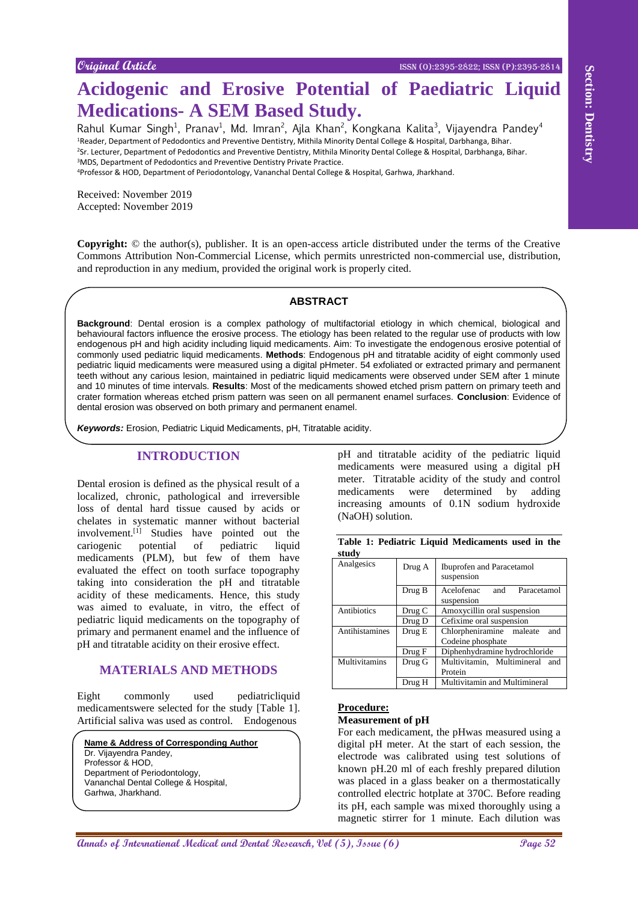# **Acidogenic and Erosive Potential of Paediatric Liquid Medications- A SEM Based Study.**

Rahul Kumar Singh<sup>1</sup>, Pranav<sup>1</sup>, Md. Imran<sup>2</sup>, Ajla Khan<sup>2</sup>, Kongkana Kalita<sup>3</sup>, Vijayendra Pandey<sup>4</sup> Reader, Department of Pedodontics and Preventive Dentistry, Mithila Minority Dental College & Hospital, Darbhanga, Bihar. Sr. Lecturer, Department of Pedodontics and Preventive Dentistry, Mithila Minority Dental College & Hospital, Darbhanga, Bihar. MDS, Department of Pedodontics and Preventive Dentistry Private Practice. Professor & HOD, Department of Periodontology, Vananchal Dental College & Hospital, Garhwa, Jharkhand.

Received: November 2019 Accepted: November 2019

**Copyright:** © the author(s), publisher. It is an open-access article distributed under the terms of the Creative Commons Attribution Non-Commercial License, which permits unrestricted non-commercial use, distribution, and reproduction in any medium, provided the original work is properly cited.

#### **ABSTRACT**

**And Control and Brooklyn English Control and Dental Research in the Control and Section 2011**<br> **And Control and Section 2012**<br> **And Control and Section 2012**<br> **And Control and Section 2013**<br> **And Control and Section 2013 Background**: Dental erosion is a complex pathology of multifactorial etiology in which chemical, biological and behavioural factors influence the erosive process. The etiology has been related to the regular use of products with low endogenous pH and high acidity including liquid medicaments. Aim: To investigate the endogenous erosive potential of commonly used pediatric liquid medicaments. **Methods**: Endogenous pH and titratable acidity of eight commonly used pediatric liquid medicaments were measured using a digital pHmeter. 54 exfoliated or extracted primary and permanent teeth without any carious lesion, maintained in pediatric liquid medicaments were observed under SEM after 1 minute and 10 minutes of time intervals. **Results**: Most of the medicaments showed etched prism pattern on primary teeth and crater formation whereas etched prism pattern was seen on all permanent enamel surfaces. **Conclusion**: Evidence of dental erosion was observed on both primary and permanent enamel.

*Keywords:* Erosion, Pediatric Liquid Medicaments, pH, Titratable acidity.

# **INTRODUCTION**

Dental erosion is defined as the physical result of a localized, chronic, pathological and irreversible loss of dental hard tissue caused by acids or chelates in systematic manner without bacterial involvement.<sup>[1]</sup> Studies have pointed out the cariogenic potential of pediatric liquid medicaments (PLM), but few of them have evaluated the effect on tooth surface topography taking into consideration the pH and titratable acidity of these medicaments. Hence, this study was aimed to evaluate, in vitro, the effect of pediatric liquid medicaments on the topography of primary and permanent enamel and the influence of pH and titratable acidity on their erosive effect.

## **MATERIALS AND METHODS**

Eight commonly used pediatricliquid medicamentswere selected for the study [Table 1]. Artificial saliva was used as control. Endogenous

**Name & Address of Corresponding Author**

Dr. Vijayendra Pandey, Professor & HOD,

Department of Periodontology, Vananchal Dental College & Hospital, Garhwa, Jharkhand.

pH and titratable acidity of the pediatric liquid medicaments were measured using a digital pH meter. Titratable acidity of the study and control medicaments were determined by adding increasing amounts of 0.1N sodium hydroxide (NaOH) solution.

| Analgesics     | Drug A | Ibuprofen and Paracetamol<br>suspension              |
|----------------|--------|------------------------------------------------------|
|                | Drug B | Acelofenac<br>Paracetamol<br>and<br>suspension       |
| Antibiotics    | Drug C | Amoxycillin oral suspension                          |
|                | Drug D | Cefixime oral suspension                             |
| Antihistamines | Drug E | Chlorpheniramine maleate<br>and<br>Codeine phosphate |
|                | Drug F | Diphenhydramine hydrochloride                        |
| Multivitamins  | Drug G | Multivitamin, Multimineral<br>and                    |
|                |        | Protein                                              |
|                | Drug H | Multivitamin and Multimineral                        |

#### **Table 1: Pediatric Liquid Medicaments used in the study**

# **Procedure:**

#### **Measurement of pH**

For each medicament, the pHwas measured using a digital pH meter. At the start of each session, the electrode was calibrated using test solutions of known pH.20 ml of each freshly prepared dilution was placed in a glass beaker on a thermostatically controlled electric hotplate at 370C. Before reading its pH, each sample was mixed thoroughly using a magnetic stirrer for 1 minute. Each dilution was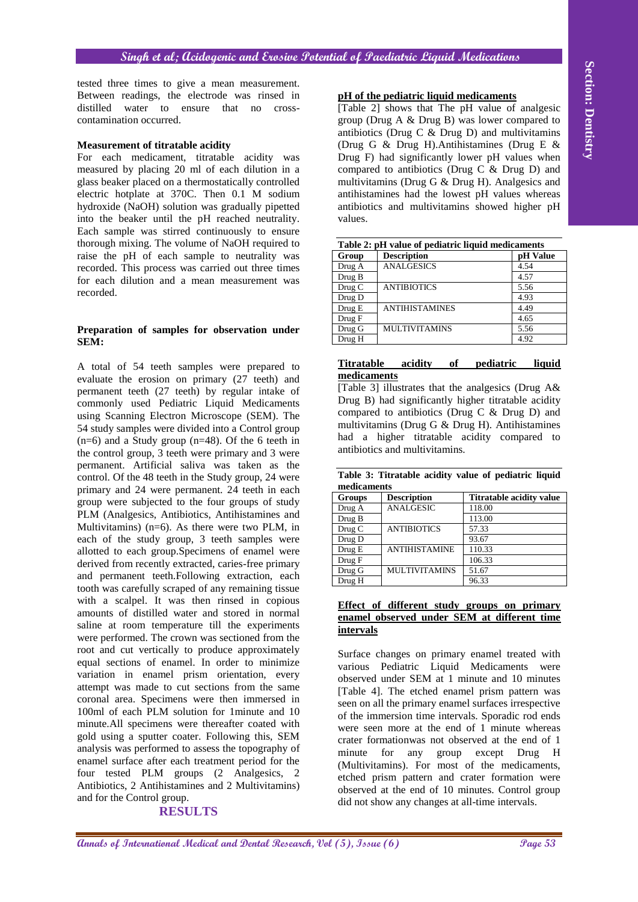tested three times to give a mean measurement. Between readings, the electrode was rinsed in distilled water to ensure that no crosscontamination occurred.

#### **Measurement of titratable acidity**

For each medicament, titratable acidity was measured by placing 20 ml of each dilution in a glass beaker placed on a thermostatically controlled electric hotplate at 370C. Then 0.1 M sodium hydroxide (NaOH) solution was gradually pipetted into the beaker until the pH reached neutrality. Each sample was stirred continuously to ensure thorough mixing. The volume of NaOH required to raise the pH of each sample to neutrality was recorded. This process was carried out three times for each dilution and a mean measurement was recorded.

#### **Preparation of samples for observation under SEM:**

**Annals of the state of the state of the state of the state of the state of the state of the state of the state of the state of the state of the state of the state of the state of the state of the state of the state of the** A total of 54 teeth samples were prepared to evaluate the erosion on primary (27 teeth) and permanent teeth (27 teeth) by regular intake of commonly used Pediatric Liquid Medicaments using Scanning Electron Microscope (SEM). The 54 study samples were divided into a Control group (n=6) and a Study group (n=48). Of the 6 teeth in the control group, 3 teeth were primary and 3 were permanent. Artificial saliva was taken as the control. Of the 48 teeth in the Study group, 24 were primary and 24 were permanent. 24 teeth in each group were subjected to the four groups of study PLM (Analgesics, Antibiotics, Antihistamines and Multivitamins) ( $n=6$ ). As there were two PLM, in each of the study group, 3 teeth samples were allotted to each group.Specimens of enamel were derived from recently extracted, caries-free primary and permanent teeth.Following extraction, each tooth was carefully scraped of any remaining tissue with a scalpel. It was then rinsed in copious amounts of distilled water and stored in normal saline at room temperature till the experiments were performed. The crown was sectioned from the root and cut vertically to produce approximately equal sections of enamel. In order to minimize variation in enamel prism orientation, every attempt was made to cut sections from the same coronal area. Specimens were then immersed in 100ml of each PLM solution for 1minute and 10 minute.All specimens were thereafter coated with gold using a sputter coater. Following this, SEM analysis was performed to assess the topography of enamel surface after each treatment period for the four tested PLM groups (2 Analgesics, 2 Antibiotics, 2 Antihistamines and 2 Multivitamins) and for the Control group.

## **RESULTS**

#### **pH of the pediatric liquid medicaments**

[Table 2] shows that The pH value of analgesic group (Drug A & Drug B) was lower compared to antibiotics (Drug C  $\&$  Drug D) and multivitamins (Drug G & Drug H).Antihistamines (Drug E & Drug F) had significantly lower pH values when compared to antibiotics (Drug C & Drug D) and multivitamins (Drug G & Drug H). Analgesics and antihistamines had the lowest pH values whereas antibiotics and multivitamins showed higher pH values.

|        | <b>Table 2: pri value of pediatric figula medicaments</b> |          |
|--------|-----------------------------------------------------------|----------|
| Group  | <b>Description</b>                                        | pH Value |
| Drug A | <b>ANALGESICS</b>                                         | 4.54     |
| Drug B |                                                           | 4.57     |
| Drug C | <b>ANTIBIOTICS</b>                                        | 5.56     |
| Drug D |                                                           | 4.93     |
| Drug E | <b>ANTIHISTAMINES</b>                                     | 4.49     |
| Drug F |                                                           | 4.65     |
| Drug G | <b>MULTIVITAMINS</b>                                      | 5.56     |
| Drug H |                                                           | 4.92     |

# **Table 2: pH value of pediatric liquid medicaments**

#### **Titratable acidity of pediatric liquid medicaments**

[Table 3] illustrates that the analgesics (Drug A& Drug B) had significantly higher titratable acidity compared to antibiotics (Drug C & Drug D) and multivitamins (Drug G & Drug H). Antihistamines had a higher titratable acidity compared to antibiotics and multivitamins.

|             | Table 3: Titratable acidity value of pediatric liquid |  |  |  |
|-------------|-------------------------------------------------------|--|--|--|
| medicaments |                                                       |  |  |  |

| muudamumo     |                      |                          |
|---------------|----------------------|--------------------------|
| <b>Groups</b> | <b>Description</b>   | Titratable acidity value |
| Drug A        | <b>ANALGESIC</b>     | 118.00                   |
| Drug B        |                      | 113.00                   |
| Drug C        | <b>ANTIBIOTICS</b>   | 57.33                    |
| Drug D        |                      | 93.67                    |
| Drug E        | <b>ANTIHISTAMINE</b> | 110.33                   |
| Drug F        |                      | 106.33                   |
| Drug G        | <b>MULTIVITAMINS</b> | 51.67                    |
| Drug H        |                      | 96.33                    |

#### **Effect of different study groups on primary enamel observed under SEM at different time intervals**

Surface changes on primary enamel treated with various Pediatric Liquid Medicaments were observed under SEM at 1 minute and 10 minutes [Table 4]. The etched enamel prism pattern was seen on all the primary enamel surfaces irrespective of the immersion time intervals. Sporadic rod ends were seen more at the end of 1 minute whereas crater formationwas not observed at the end of 1 minute for any group except Drug H (Multivitamins). For most of the medicaments, etched prism pattern and crater formation were observed at the end of 10 minutes. Control group did not show any changes at all-time intervals.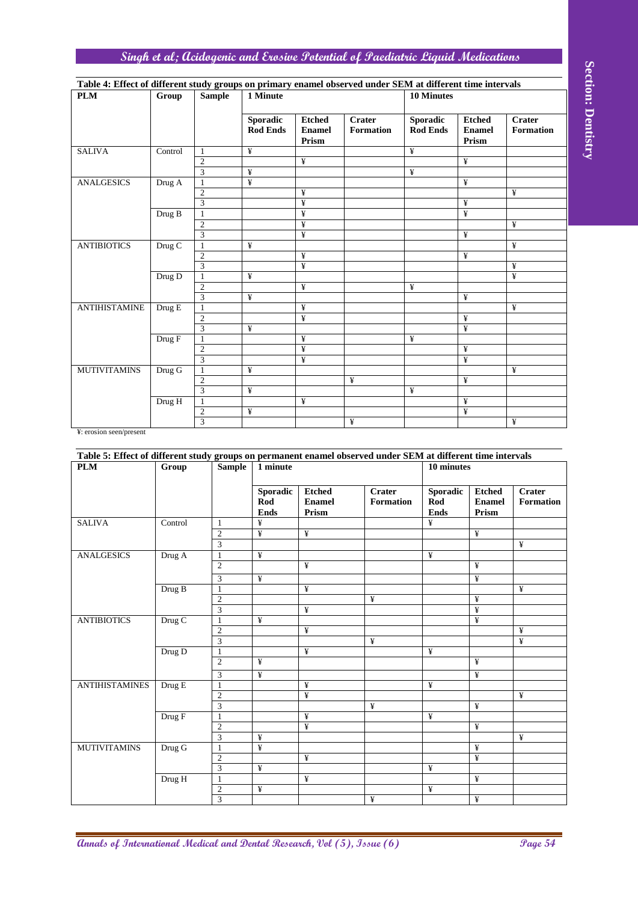# **Singh et al; Acidogenic and Erosive Potential of Paediatric Liquid Medications**

| Table 4: Effect of different study groups on primary enamel observed under SEM at different time intervals |                                        |                |                                    |                                         |                            |                                    |                                         |                                   |
|------------------------------------------------------------------------------------------------------------|----------------------------------------|----------------|------------------------------------|-----------------------------------------|----------------------------|------------------------------------|-----------------------------------------|-----------------------------------|
| <b>PLM</b>                                                                                                 | Group                                  | <b>Sample</b>  | 1 Minute                           |                                         |                            | <b>10 Minutes</b>                  |                                         |                                   |
|                                                                                                            |                                        |                | <b>Sporadic</b><br><b>Rod Ends</b> | <b>Etched</b><br><b>Enamel</b><br>Prism | <b>Crater</b><br>Formation | <b>Sporadic</b><br><b>Rod Ends</b> | <b>Etched</b><br><b>Enamel</b><br>Prism | <b>Crater</b><br><b>Formation</b> |
| <b>SALIVA</b>                                                                                              | Control                                | 1              | ¥                                  |                                         |                            | ¥                                  |                                         |                                   |
|                                                                                                            |                                        | $\overline{c}$ |                                    | ¥                                       |                            |                                    | ¥                                       |                                   |
|                                                                                                            |                                        | 3              | ¥                                  |                                         |                            | ¥                                  |                                         |                                   |
| <b>ANALGESICS</b>                                                                                          | Drug A                                 | $\mathbf{1}$   | ¥                                  |                                         |                            |                                    | ¥                                       |                                   |
|                                                                                                            |                                        | $\overline{c}$ |                                    | ¥                                       |                            |                                    |                                         | ¥                                 |
|                                                                                                            |                                        | 3              |                                    | ¥                                       |                            |                                    | ¥                                       |                                   |
|                                                                                                            | Drug B                                 | 1              |                                    | $\overline{\mathbf{F}}$                 |                            |                                    | ¥                                       |                                   |
|                                                                                                            |                                        | $\overline{c}$ |                                    | ¥                                       |                            |                                    |                                         | ¥                                 |
|                                                                                                            |                                        | 3              |                                    | $\overline{\mathbf{F}}$                 |                            |                                    | ¥                                       |                                   |
| <b>ANTIBIOTICS</b>                                                                                         | Drug C                                 | 1              | ¥                                  |                                         |                            |                                    |                                         | ¥                                 |
|                                                                                                            |                                        | $\mathfrak{2}$ |                                    | ¥                                       |                            |                                    | ¥                                       |                                   |
|                                                                                                            |                                        | $\overline{3}$ |                                    | $\overline{\mathbf{F}}$                 |                            |                                    |                                         | ¥                                 |
|                                                                                                            | Drug D                                 | $\mathbf{1}$   | $\overline{f}$                     |                                         |                            |                                    |                                         | ¥                                 |
|                                                                                                            |                                        | $\overline{c}$ |                                    | ¥                                       |                            | ¥                                  |                                         |                                   |
|                                                                                                            |                                        | 3              | ¥                                  |                                         |                            |                                    | ¥                                       |                                   |
| <b>ANTIHISTAMINE</b>                                                                                       | Drug E                                 | $\mathbf{1}$   |                                    | ¥                                       |                            |                                    |                                         | ¥                                 |
|                                                                                                            |                                        | $\overline{c}$ |                                    | ¥                                       |                            |                                    | ¥                                       |                                   |
|                                                                                                            |                                        | $\overline{3}$ | ¥                                  |                                         |                            |                                    | ¥                                       |                                   |
|                                                                                                            | $\overline{\mathrm{Drug}\ \mathrm{F}}$ | $\mathbf{1}$   |                                    | ¥                                       |                            | ¥                                  |                                         |                                   |
|                                                                                                            |                                        | $\overline{2}$ |                                    | ¥                                       |                            |                                    | ¥                                       |                                   |
|                                                                                                            |                                        | 3              |                                    | $\overline{\mathbf{F}}$                 |                            |                                    | ¥                                       |                                   |
| <b>MUTIVITAMINS</b>                                                                                        | $Drug$ G                               | $\mathbf{1}$   | $\overline{f}$                     |                                         |                            |                                    |                                         | ¥                                 |
|                                                                                                            |                                        | $\overline{2}$ |                                    |                                         | ¥                          |                                    | ¥                                       |                                   |
|                                                                                                            |                                        | 3              | ¥                                  |                                         |                            | ¥                                  |                                         |                                   |
|                                                                                                            | Drug H                                 | $\mathbf{1}$   |                                    | ¥                                       |                            |                                    | ¥                                       |                                   |
|                                                                                                            |                                        | $\mathfrak{2}$ | ¥                                  |                                         |                            |                                    | ¥                                       |                                   |
| $\mathbf{V}$ , $\cdots$ , $\vdots$ , $\cdots$ , $\cdots$                                                   |                                        | 3              |                                    |                                         | ¥                          |                                    |                                         | ¥                                 |

|                                                                                                                                                                                                                                                                   |         |                                             | <b>Sporadic</b><br><b>Rod Ends</b> | <b>Etched</b><br><b>Enamel</b><br>Prism | <b>Crater</b> | <b>Formation</b> |   | Sporadic<br><b>Rod Ends</b> | <b>Etched</b><br><b>Enamel</b><br>Prism |                        | <b>Crater</b><br><b>Formation</b> |
|-------------------------------------------------------------------------------------------------------------------------------------------------------------------------------------------------------------------------------------------------------------------|---------|---------------------------------------------|------------------------------------|-----------------------------------------|---------------|------------------|---|-----------------------------|-----------------------------------------|------------------------|-----------------------------------|
| <b>SALIVA</b>                                                                                                                                                                                                                                                     | Control | $\mathbf{1}$<br>$\sqrt{2}$                  | ¥                                  | ¥                                       |               |                  | ¥ |                             | ¥                                       |                        |                                   |
|                                                                                                                                                                                                                                                                   |         | $\overline{3}$                              | ¥                                  |                                         |               |                  | ¥ |                             |                                         |                        |                                   |
| <b>ANALGESICS</b>                                                                                                                                                                                                                                                 | Drug A  | $\mathbf{1}$<br>$\mathfrak{2}$              | ¥                                  | ¥                                       |               |                  |   |                             | ¥                                       |                        | ¥                                 |
|                                                                                                                                                                                                                                                                   |         | $\overline{\mathbf{3}}$                     |                                    | ¥                                       |               |                  |   |                             | ¥                                       |                        |                                   |
|                                                                                                                                                                                                                                                                   | Drug B  | $\mathbf{1}$                                |                                    | ¥                                       |               |                  |   |                             | ¥                                       |                        |                                   |
|                                                                                                                                                                                                                                                                   |         | $\overline{2}$<br>$\overline{\mathbf{3}}$   |                                    | ¥<br>¥                                  |               |                  |   |                             | ¥                                       |                        | ¥                                 |
| <b>ANTIBIOTICS</b>                                                                                                                                                                                                                                                | Drug C  | $\mathbf{1}$                                | ¥                                  |                                         |               |                  |   |                             |                                         |                        | ¥                                 |
|                                                                                                                                                                                                                                                                   |         | $\mathfrak{2}$<br>3                         |                                    | ¥<br>¥                                  |               |                  |   |                             | ¥                                       |                        | ¥                                 |
|                                                                                                                                                                                                                                                                   | Drug D  | $\mathbf{1}$                                | ¥                                  |                                         |               |                  |   |                             |                                         |                        | ¥                                 |
|                                                                                                                                                                                                                                                                   |         | $\sqrt{2}$<br>3                             | ¥                                  | ¥                                       |               |                  | ¥ |                             | ¥                                       |                        |                                   |
| <b>ANTIHISTAMINE</b>                                                                                                                                                                                                                                              | Drug E  | 1                                           |                                    | ¥                                       |               |                  |   |                             |                                         |                        | ¥                                 |
|                                                                                                                                                                                                                                                                   |         | $\sqrt{2}$                                  |                                    | ¥                                       |               |                  |   |                             | ¥                                       |                        |                                   |
|                                                                                                                                                                                                                                                                   | Drug F  | 3<br>$\mathbf{1}$                           | ¥                                  | ¥                                       |               |                  | ¥ |                             | ¥                                       |                        |                                   |
|                                                                                                                                                                                                                                                                   |         | $\mathfrak{2}$                              |                                    | ¥                                       |               |                  |   |                             | ¥                                       |                        |                                   |
| <b>MUTIVITAMINS</b>                                                                                                                                                                                                                                               | Drug G  | 3<br>$\mathbf{1}$                           | ¥                                  | ¥                                       |               |                  |   |                             | ¥                                       |                        | ¥                                 |
|                                                                                                                                                                                                                                                                   |         | $\mathfrak{2}$                              |                                    |                                         | ¥             |                  |   |                             | ¥                                       |                        |                                   |
|                                                                                                                                                                                                                                                                   | Drug H  | $\overline{3}$<br>$\mathbf{1}$              | ¥                                  | ¥                                       |               |                  | ¥ |                             | ¥                                       |                        |                                   |
|                                                                                                                                                                                                                                                                   |         | $\boldsymbol{2}$                            | ¥                                  |                                         |               |                  |   |                             | ¥                                       |                        |                                   |
|                                                                                                                                                                                                                                                                   |         |                                             |                                    |                                         |               |                  |   |                             |                                         |                        |                                   |
|                                                                                                                                                                                                                                                                   | Group   | $\overline{3}$<br><b>Sample</b>             | 1 minute                           |                                         | ¥             |                  |   | 10 minutes                  |                                         |                        | ¥                                 |
|                                                                                                                                                                                                                                                                   |         |                                             | Sporadic                           | <b>Etched</b>                           |               | <b>Crater</b>    |   | <b>Sporadic</b>             |                                         | <b>Etched</b>          | <b>Crater</b>                     |
|                                                                                                                                                                                                                                                                   |         |                                             | Rod<br><b>Ends</b>                 | <b>Enamel</b><br>Prism                  |               | <b>Formation</b> |   | Rod<br><b>Ends</b>          |                                         | <b>Enamel</b><br>Prism | <b>Formation</b>                  |
|                                                                                                                                                                                                                                                                   | Control | $\mathbf{1}$                                | ¥                                  |                                         |               |                  |   | ¥                           |                                         |                        |                                   |
|                                                                                                                                                                                                                                                                   |         | $\overline{c}$                              | ¥                                  | ¥                                       |               |                  |   |                             | ¥                                       |                        | $\overline{\mathbf{f}}$           |
|                                                                                                                                                                                                                                                                   | Drug A  | $\ensuremath{\mathfrak{Z}}$<br>$\mathbf{1}$ | ¥                                  |                                         |               |                  |   | ¥                           |                                         |                        |                                   |
|                                                                                                                                                                                                                                                                   |         | $\overline{2}$                              |                                    | ¥                                       |               |                  |   |                             | ¥                                       |                        |                                   |
|                                                                                                                                                                                                                                                                   | Drug B  | $\ensuremath{\mathfrak{Z}}$<br>$\mathbf{1}$ | ¥                                  | ¥                                       |               |                  |   |                             | ¥                                       |                        | ¥                                 |
|                                                                                                                                                                                                                                                                   |         | $\mathfrak{2}$                              |                                    |                                         |               | ¥                |   |                             | ¥                                       |                        |                                   |
|                                                                                                                                                                                                                                                                   | Drug C  | $\ensuremath{\mathfrak{Z}}$<br>$\mathbf{1}$ | ¥                                  | ¥                                       |               |                  |   |                             | ¥<br>¥                                  |                        |                                   |
|                                                                                                                                                                                                                                                                   |         | $\overline{2}$                              |                                    | ¥                                       |               |                  |   |                             |                                         |                        | ¥                                 |
|                                                                                                                                                                                                                                                                   |         | $\overline{3}$<br>$\mathbf{1}$              |                                    | ¥                                       |               | ¥                |   | ¥                           |                                         |                        | ¥                                 |
|                                                                                                                                                                                                                                                                   | Drug D  | $\overline{2}$                              | ¥                                  |                                         |               |                  |   |                             | ¥                                       |                        |                                   |
|                                                                                                                                                                                                                                                                   |         | $\overline{\mathbf{3}}$                     | ¥                                  |                                         |               |                  |   |                             | ¥                                       |                        |                                   |
|                                                                                                                                                                                                                                                                   | Drug E  | $\mathbf{1}$<br>$\sqrt{2}$                  |                                    | ¥<br>¥                                  |               |                  |   | ¥                           |                                         |                        | ¥                                 |
|                                                                                                                                                                                                                                                                   |         | $\mathfrak{Z}$                              |                                    |                                         |               | ¥                |   |                             | ¥                                       |                        |                                   |
|                                                                                                                                                                                                                                                                   | Drug F  | $\mathbf{1}$                                |                                    | ¥                                       |               |                  |   | ¥                           |                                         |                        |                                   |
|                                                                                                                                                                                                                                                                   |         | $\sqrt{2}$<br>$\overline{3}$                | ¥                                  | ¥                                       |               |                  |   |                             | ¥                                       |                        | ¥                                 |
|                                                                                                                                                                                                                                                                   | Drug G  | $\mathbf{1}$                                | ¥                                  |                                         |               |                  |   |                             | $\overline{\mathbf{Y}}$                 |                        |                                   |
|                                                                                                                                                                                                                                                                   |         | $\sqrt{2}$<br>$\overline{3}$                | ¥                                  | ¥                                       |               |                  |   | ¥                           | ¥                                       |                        |                                   |
| ¥: erosion seen/present<br>Table 5: Effect of different study groups on permanent enamel observed under SEM at different time intervals<br><b>PLM</b><br><b>SALIVA</b><br><b>ANALGESICS</b><br><b>ANTIBIOTICS</b><br><b>ANTIHISTAMINES</b><br><b>MUTIVITAMINS</b> | Drug H  | $\mathbf{1}$<br>2                           | ¥                                  | ¥                                       |               |                  |   | ¥                           | ¥                                       |                        |                                   |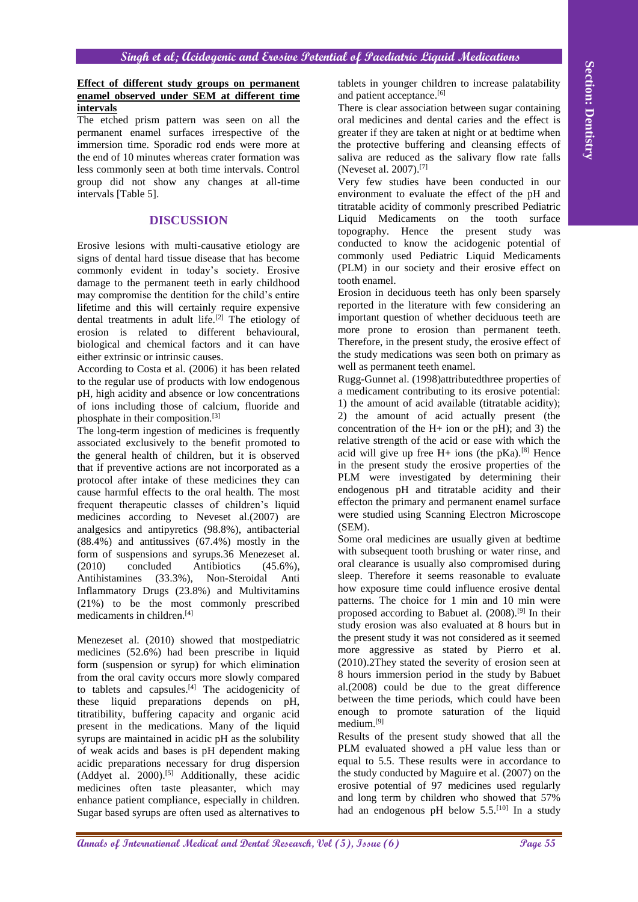#### **Effect of different study groups on permanent enamel observed under SEM at different time intervals**

The etched prism pattern was seen on all the permanent enamel surfaces irrespective of the immersion time. Sporadic rod ends were more at the end of 10 minutes whereas crater formation was less commonly seen at both time intervals. Control group did not show any changes at all-time intervals [Table 5].

# **DISCUSSION**

Erosive lesions with multi-causative etiology are signs of dental hard tissue disease that has become commonly evident in today's society. Erosive damage to the permanent teeth in early childhood may compromise the dentition for the child's entire lifetime and this will certainly require expensive dental treatments in adult life.<sup>[2]</sup> The etiology of erosion is related to different behavioural, biological and chemical factors and it can have either extrinsic or intrinsic causes.

According to Costa et al. (2006) it has been related to the regular use of products with low endogenous pH, high acidity and absence or low concentrations of ions including those of calcium, fluoride and phosphate in their composition.[3]

**Affect of different links around an aromanomic velocity of the international Medical and The Contrast of the Contrast of the Contrast of the Contrast of the Contrast of the Contrast of the Contrast of the Contrast of the** The long-term ingestion of medicines is frequently associated exclusively to the benefit promoted to the general health of children, but it is observed that if preventive actions are not incorporated as a protocol after intake of these medicines they can cause harmful effects to the oral health. The most frequent therapeutic classes of children's liquid medicines according to Neveset al.(2007) are analgesics and antipyretics (98.8%), antibacterial (88.4%) and antitussives (67.4%) mostly in the form of suspensions and syrups.36 Menezeset al. (2010) concluded Antibiotics (45.6%), Antihistamines (33.3%), Non-Steroidal Anti Inflammatory Drugs (23.8%) and Multivitamins (21%) to be the most commonly prescribed medicaments in children.[4]

Menezeset al. (2010) showed that mostpediatric medicines (52.6%) had been prescribe in liquid form (suspension or syrup) for which elimination from the oral cavity occurs more slowly compared to tablets and capsules.[4] The acidogenicity of these liquid preparations depends on pH, titratibility, buffering capacity and organic acid present in the medications. Many of the liquid syrups are maintained in acidic pH as the solubility of weak acids and bases is pH dependent making acidic preparations necessary for drug dispersion  $(Addvet al. 2000).<sup>[5]</sup> Additionally, these residue$ medicines often taste pleasanter, which may enhance patient compliance, especially in children. Sugar based syrups are often used as alternatives to

tablets in younger children to increase palatability and patient acceptance.[6]

There is clear association between sugar containing oral medicines and dental caries and the effect is greater if they are taken at night or at bedtime when the protective buffering and cleansing effects of saliva are reduced as the salivary flow rate falls (Neveset al. 2007).[7]

Very few studies have been conducted in our environment to evaluate the effect of the pH and titratable acidity of commonly prescribed Pediatric Liquid Medicaments on the tooth surface topography. Hence the present study was conducted to know the acidogenic potential of commonly used Pediatric Liquid Medicaments (PLM) in our society and their erosive effect on tooth enamel.

Erosion in deciduous teeth has only been sparsely reported in the literature with few considering an important question of whether deciduous teeth are more prone to erosion than permanent teeth. Therefore, in the present study, the erosive effect of the study medications was seen both on primary as well as permanent teeth enamel.

Rugg-Gunnet al. (1998)attributedthree properties of a medicament contributing to its erosive potential: 1) the amount of acid available (titratable acidity); 2) the amount of acid actually present (the concentration of the  $H<sup>+</sup>$  ion or the pH); and 3) the relative strength of the acid or ease with which the acid will give up free  $H+$  ions (the pKa).<sup>[8]</sup> Hence in the present study the erosive properties of the PLM were investigated by determining their endogenous pH and titratable acidity and their effecton the primary and permanent enamel surface were studied using Scanning Electron Microscope (SEM).

Some oral medicines are usually given at bedtime with subsequent tooth brushing or water rinse, and oral clearance is usually also compromised during sleep. Therefore it seems reasonable to evaluate how exposure time could influence erosive dental patterns. The choice for 1 min and 10 min were proposed according to Babuet al. (2008).[9] In their study erosion was also evaluated at 8 hours but in the present study it was not considered as it seemed more aggressive as stated by Pierro et al. (2010).2They stated the severity of erosion seen at 8 hours immersion period in the study by Babuet al.(2008) could be due to the great difference between the time periods, which could have been enough to promote saturation of the liquid medium.[9]

Results of the present study showed that all the PLM evaluated showed a pH value less than or equal to 5.5. These results were in accordance to the study conducted by Maguire et al. (2007) on the erosive potential of 97 medicines used regularly and long term by children who showed that 57% had an endogenous pH below 5.5.<sup>[10]</sup> In a study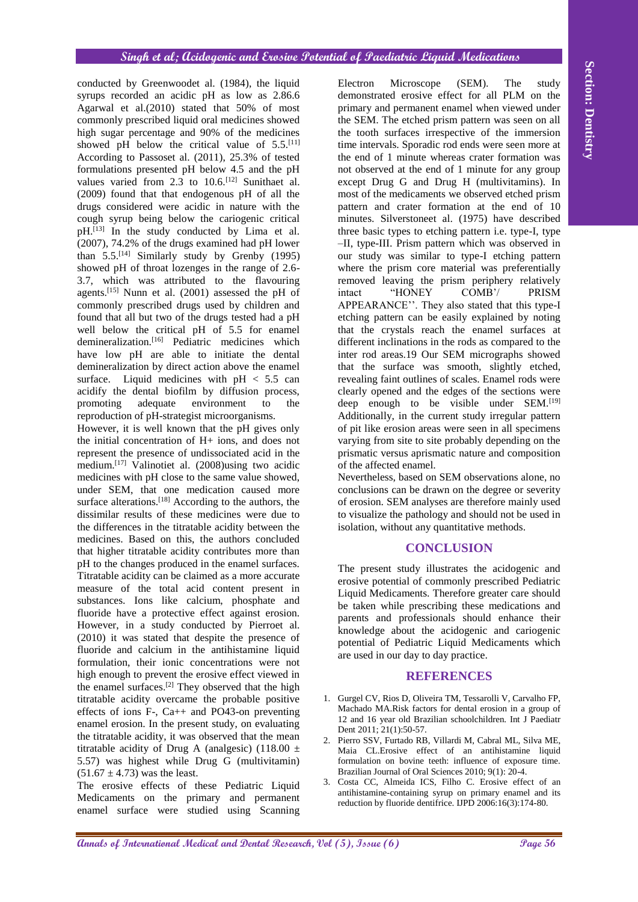conducted by Greenwoodet al. (1984), the liquid syrups recorded an acidic pH as low as 2.86.6 Agarwal et al.(2010) stated that 50% of most commonly prescribed liquid oral medicines showed high sugar percentage and 90% of the medicines showed pH below the critical value of  $5.5$ .<sup>[11]</sup> According to Passoset al. (2011), 25.3% of tested formulations presented pH below 4.5 and the pH values varied from  $2.\overline{3}$  to  $10.6$ .<sup>[12]</sup> Sunithaet al. (2009) found that that endogenous pH of all the drugs considered were acidic in nature with the cough syrup being below the cariogenic critical  $pH<sub>1</sub>$ <sup>[13]</sup> In the study conducted by Lima et al. (2007), 74.2% of the drugs examined had pH lower than  $5.5$ .<sup>[14]</sup> Similarly study by Grenby (1995) showed pH of throat lozenges in the range of 2.6- 3.7, which was attributed to the flavouring agents.<sup>[15]</sup> Nunn et al. (2001) assessed the pH of commonly prescribed drugs used by children and found that all but two of the drugs tested had a pH well below the critical pH of 5.5 for enamel demineralization.<sup>[16]</sup> Pediatric medicines which have low pH are able to initiate the dental demineralization by direct action above the enamel surface. Liquid medicines with  $pH < 5.5$  can acidify the dental biofilm by diffusion process, promoting adequate environment to the reproduction of pH-strategist microorganisms.

However, it is well known that the pH gives only the initial concentration of H+ ions, and does not represent the presence of undissociated acid in the medium.[17] Valinotiet al. (2008)using two acidic medicines with pH close to the same value showed, under SEM, that one medication caused more surface alterations.<sup>[18]</sup> According to the authors, the dissimilar results of these medicines were due to the differences in the titratable acidity between the medicines. Based on this, the authors concluded that higher titratable acidity contributes more than pH to the changes produced in the enamel surfaces. Titratable acidity can be claimed as a more accurate measure of the total acid content present in substances. Ions like calcium, phosphate and fluoride have a protective effect against erosion. However, in a study conducted by Pierroet al. (2010) it was stated that despite the presence of fluoride and calcium in the antihistamine liquid formulation, their ionic concentrations were not high enough to prevent the erosive effect viewed in the enamel surfaces.<sup>[2]</sup> They observed that the high titratable acidity overcame the probable positive effects of ions  $F - CA$  and PO43-on preventing enamel erosion. In the present study, on evaluating the titratable acidity, it was observed that the mean titratable acidity of Drug A (analgesic) (118.00  $\pm$ 5.57) was highest while Drug G (multivitamin)  $(51.67 \pm 4.73)$  was the least.

The erosive effects of these Pediatric Liquid Medicaments on the primary and permanent enamel surface were studied using Scanning

**Annihized by Greenwoords at**  $(1984)$  **and**  $(1984)$  **and**  $(1984)$  **and**  $(1984)$  **and**  $(1984)$  **and**  $(1984)$  **and**  $(1984)$  **and**  $(1984)$  **and**  $(1984)$  **and**  $(1984)$  **and**  $(1984)$  **and**  $(1984)$  **and**  $(1984)$  **and**  $(1984)$  **and**  $(1984)$  **a** Electron Microscope (SEM). The study demonstrated erosive effect for all PLM on the primary and permanent enamel when viewed under the SEM. The etched prism pattern was seen on all the tooth surfaces irrespective of the immersion time intervals. Sporadic rod ends were seen more at the end of 1 minute whereas crater formation was not observed at the end of 1 minute for any group except Drug G and Drug H (multivitamins). In most of the medicaments we observed etched prism pattern and crater formation at the end of 10 minutes. Silverstoneet al. (1975) have described three basic types to etching pattern i.e. type-I, type –II, type-III. Prism pattern which was observed in our study was similar to type-I etching pattern where the prism core material was preferentially removed leaving the prism periphery relatively intact "HONEY COMB'/ PRISM APPEARANCE''. They also stated that this type-I etching pattern can be easily explained by noting that the crystals reach the enamel surfaces at different inclinations in the rods as compared to the inter rod areas.19 Our SEM micrographs showed that the surface was smooth, slightly etched, revealing faint outlines of scales. Enamel rods were clearly opened and the edges of the sections were deep enough to be visible under SEM.<sup>[19]</sup> Additionally, in the current study irregular pattern of pit like erosion areas were seen in all specimens varying from site to site probably depending on the prismatic versus aprismatic nature and composition of the affected enamel.

Nevertheless, based on SEM observations alone, no conclusions can be drawn on the degree or severity of erosion. SEM analyses are therefore mainly used to visualize the pathology and should not be used in isolation, without any quantitative methods.

# **CONCLUSION**

The present study illustrates the acidogenic and erosive potential of commonly prescribed Pediatric Liquid Medicaments. Therefore greater care should be taken while prescribing these medications and parents and professionals should enhance their knowledge about the acidogenic and cariogenic potential of Pediatric Liquid Medicaments which are used in our day to day practice.

## **REFERENCES**

- 1. Gurgel CV, Rios D, Oliveira TM, Tessarolli V, Carvalho FP, Machado MA.Risk factors for dental erosion in a group of 12 and 16 year old Brazilian schoolchildren. Int J Paediatr Dent 2011; 21(1):50-57.
- 2. Pierro SSV, Furtado RB, Villardi M, Cabral ML, Silva ME, Maia CL.Erosive effect of an antihistamine liquid formulation on bovine teeth: influence of exposure time. Brazilian Journal of Oral Sciences 2010; 9(1): 20-4.
- 3. Costa CC, Almeida ICS, Filho C. Erosive effect of an antihistamine-containing syrup on primary enamel and its reduction by fluoride dentifrice. IJPD 2006:16(3):174-80.